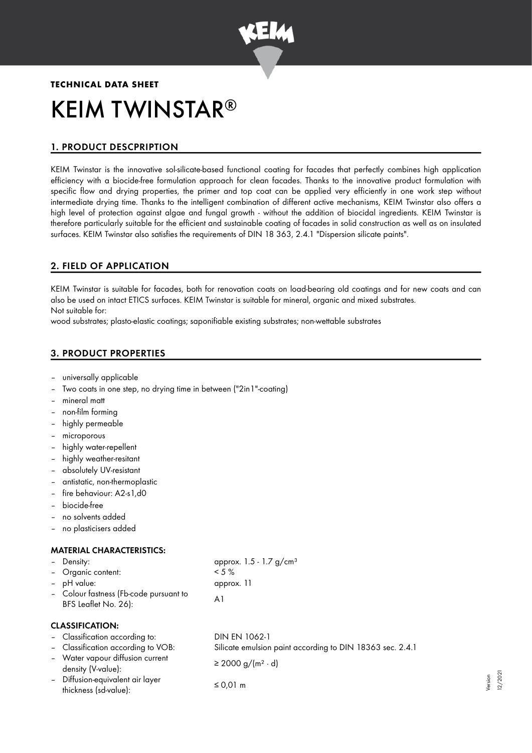

# **TECHNICAL DATA SHEET** KEIM TWINSTAR ®

## 1. PRODUCT DESCPRIPTION

KEIM Twinstar is the innovative sol-silicate-based functional coating for facades that perfectly combines high application efficiency with a biocide-free formulation approach for clean facades. Thanks to the innovative product formulation with specific flow and drying properties, the primer and top coat can be applied very efficiently in one work step without intermediate drying time. Thanks to the intelligent combination of different active mechanisms, KEIM Twinstar also offers a high level of protection against algae and fungal growth - without the addition of biocidal ingredients. KEIM Twinstar is therefore particularly suitable for the efficient and sustainable coating of facades in solid construction as well as on insulated surfaces. KEIM Twinstar also satisfies the requirements of DIN 18 363, 2.4.1 "Dispersion silicate paints".

## 2. FIELD OF APPLICATION

KEIM Twinstar is suitable for facades, both for renovation coats on load-bearing old coatings and for new coats and can also be used on intact ETICS surfaces. KEIM Twinstar is suitable for mineral, organic and mixed substrates. Not suitable for:

wood substrates; plasto-elastic coatings; saponifiable existing substrates; non-wettable substrates

## 3. PRODUCT PROPERTIES

- universally applicable
- Two coats in one step, no drying time in between ("2in1"-coating)
- mineral matt
- non-film forming
- highly permeable
- microporous
- highly water-repellent
- highly weather-resitant
- absolutely UV-resistant
- antistatic, non-thermoplastic
- fire behaviour: A2-s1,d0
- biocide-free
- no solvents added
- no plasticisers added

## MATERIAL CHARACTERISTICS:

| - Density:                                                     | approx. $1.5 - 1.7$ g/cm <sup>3</sup> |
|----------------------------------------------------------------|---------------------------------------|
| - Organic content:                                             | $< 5 \%$                              |
| - pH value:                                                    | approx. 11                            |
| - Colour fastness (Fb-code pursuant to<br>BFS Leaflet No. 26): | Αl                                    |

## CLASSIFICATION:

- Classification according to: DIN EN 1062-1
- 
- Water vapour diffusion current  $\text{density (V-value):}$ <br>density (V-value):  $\geq 2000 \text{ g/(m}^2 \cdot \text{d)}$
- Diffusion-equivalent air layer  $t$  thickness (sd-value):  $\leq 0.01$  m

– Classification according to VOB: Silicate emulsion paint according to DIN 18363 sec. 2.4.1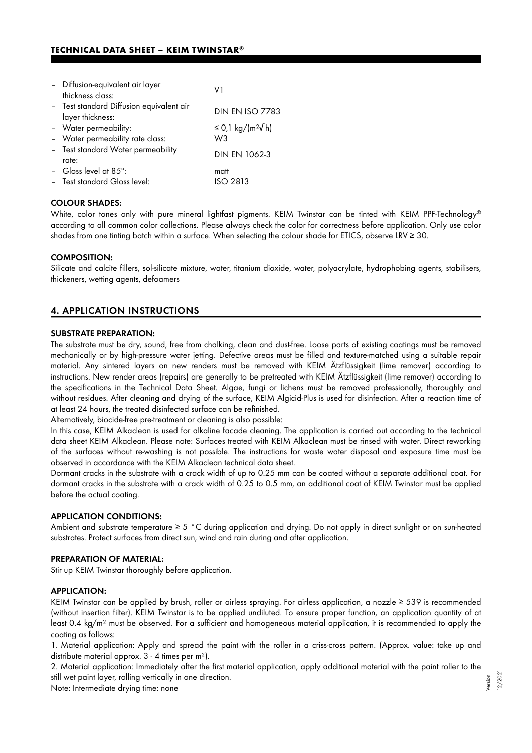| - Diffusion-equivalent air layer<br>thickness class:         | V1                                    |
|--------------------------------------------------------------|---------------------------------------|
| - Test standard Diffusion equivalent air<br>layer thickness: | <b>DIN EN ISO 7783</b>                |
| - Water permeability:                                        | ≤ 0,1 kg/(m <sup>2</sup> $\sqrt{}$ h) |
| - Water permeability rate class:                             | W <sub>3</sub>                        |
| - Test standard Water permeability<br>rate:                  | DIN EN 1062-3                         |
| - Gloss level at $85^\circ$ :                                | matt                                  |
| - Test standard Gloss level:                                 | ISO 2813                              |

#### COLOUR SHADES:

White, color tones only with pure mineral lightfast pigments. KEIM Twinstar can be tinted with KEIM PPF-Technology ® according to all common color collections. Please always check the color for correctness before application. Only use color shades from one tinting batch within a surface. When selecting the colour shade for ETICS, observe LRV ≥ 30.

## COMPOSITION:

Silicate and calcite fillers, sol-silicate mixture, water, titanium dioxide, water, polyacrylate, hydrophobing agents, stabilisers, thickeners, wetting agents, defoamers

## 4. APPLICATION INSTRUCTIONS

#### SUBSTRATE PREPARATION:

The substrate must be dry, sound, free from chalking, clean and dust-free. Loose parts of existing coatings must be removed mechanically or by high-pressure water jetting. Defective areas must be filled and texture-matched using a suitable repair material. Any sintered layers on new renders must be removed with KEIM Ätzflüssigkeit (lime remover) according to instructions. New render areas (repairs) are generally to be pretreated with KEIM Ätzflüssigkeit (lime remover) according to the specifications in the Technical Data Sheet. Algae, fungi or lichens must be removed professionally, thoroughly and without residues. After cleaning and drying of the surface, KEIM Algicid-Plus is used for disinfection. After a reaction time of at least 24 hours, the treated disinfected surface can be refinished.

Alternatively, biocide-free pre-treatment or cleaning is also possible:

In this case, KEIM Alkaclean is used for alkaline facade cleaning. The application is carried out according to the technical data sheet KEIM Alkaclean. Please note: Surfaces treated with KEIM Alkaclean must be rinsed with water. Direct reworking of the surfaces without re-washing is not possible. The instructions for waste water disposal and exposure time must be observed in accordance with the KEIM Alkaclean technical data sheet.

Dormant cracks in the substrate with a crack width of up to 0.25 mm can be coated without a separate additional coat. For dormant cracks in the substrate with a crack width of 0.25 to 0.5 mm, an additional coat of KEIM Twinstar must be applied before the actual coating.

#### APPLICATION CONDITIONS:

Ambient and substrate temperature  $\geq 5$  °C during application and drying. Do not apply in direct sunlight or on sun-heated substrates. Protect surfaces from direct sun, wind and rain during and after application.

#### PREPARATION OF MATERIAL:

Stir up KEIM Twinstar thoroughly before application.

#### APPLICATION:

KEIM Twinstar can be applied by brush, roller or airless spraying. For airless application, a nozzle ≥ 539 is recommended (without insertion filter). KEIM Twinstar is to be applied undiluted. To ensure proper function, an application quantity of at least 0.4 kg/m² must be observed. For a sufficient and homogeneous material application, it is recommended to apply the coating as follows:

1. Material application: Apply and spread the paint with the roller in a criss-cross pattern. (Approx. value: take up and distribute material approx. 3 - 4 times per m²).

2. Material application: Immediately after the first material application, apply additional material with the paint roller to the still wet paint layer, rolling vertically in one direction.

Note: Intermediate drying time: none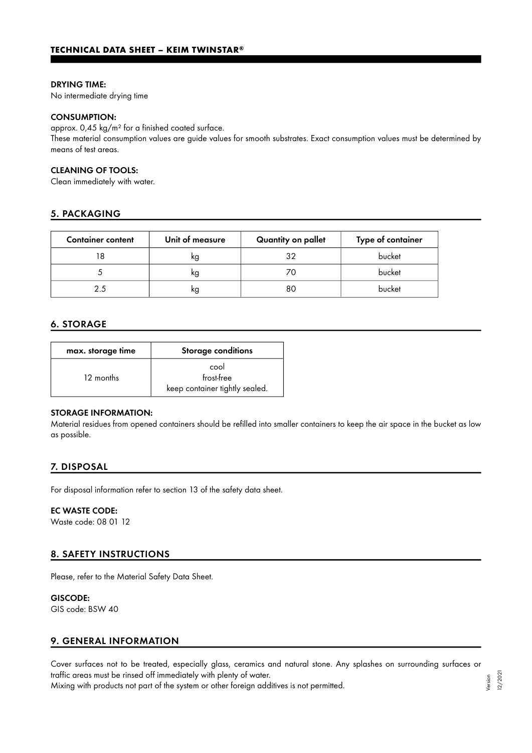#### DRYING TIME:

No intermediate drying time

#### CONSUMPTION:

approx. 0,45 kg/m² for a finished coated surface.

These material consumption values are guide values for smooth substrates. Exact consumption values must be determined by means of test areas.

#### CLEANING OF TOOLS:

Clean immediately with water.

## 5. PACKAGING

| <b>Container content</b> | Unit of measure | Quantity on pallet | Type of container |
|--------------------------|-----------------|--------------------|-------------------|
|                          | kg              | 32                 | bucket            |
|                          | kg              |                    | bucket            |
| 25                       | kg              | 80                 | bucket            |

## 6. STORAGE

| max. storage time | Storage conditions                                   |
|-------------------|------------------------------------------------------|
| 12 months         | cool<br>frost-free<br>keep container tightly sealed. |

#### STORAGE INFORMATION:

Material residues from opened containers should be refilled into smaller containers to keep the air space in the bucket as low as possible.

## 7. DISPOSAL

For disposal information refer to section 13 of the safety data sheet.

## EC WASTE CODE:

Waste code: 08 01 12

## 8. SAFETY INSTRUCTIONS

Please, refer to the Material Safety Data Sheet.

#### GISCODE:

GIS code: BSW 40

## 9. GENERAL INFORMATION

Cover surfaces not to be treated, especially glass, ceramics and natural stone. Any splashes on surrounding surfaces or traffic areas must be rinsed off immediately with plenty of water.

Mixing with products not part of the system or other foreign additives is not permitted.